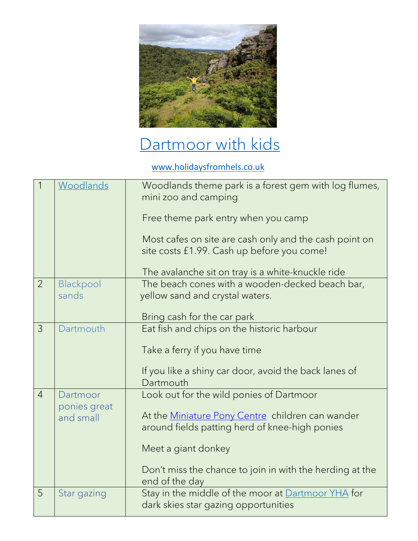

## [Dartmoor with kids](https://www.holidaysfromhels.co.uk/2019/09/07/dartmoor-with-kids/)

[www.holidaysfromhels.co.uk](http://www.holidaysfromhels.co.uk/)

| $\overline{1}$ | Woodlands                 | Woodlands theme park is a forest gem with log flumes,<br>mini zoo and camping                        |
|----------------|---------------------------|------------------------------------------------------------------------------------------------------|
|                |                           | Free theme park entry when you camp                                                                  |
|                |                           | Most cafes on site are cash only and the cash point on<br>site costs £1.99. Cash up before you come! |
|                |                           | The avalanche sit on tray is a white-knuckle ride                                                    |
| $\overline{2}$ | Blackpool<br>sands        | The beach cones with a wooden-decked beach bar,<br>yellow sand and crystal waters.                   |
|                |                           | Bring cash for the car park                                                                          |
| $\mathcal{S}$  | Dartmouth                 | Eat fish and chips on the historic harbour                                                           |
|                |                           | Take a ferry if you have time                                                                        |
|                |                           | If you like a shiny car door, avoid the back lanes of<br>Dartmouth                                   |
| $\overline{4}$ | Dartmoor                  | Look out for the wild ponies of Dartmoor                                                             |
|                | ponies great<br>and small | At the Miniature Pony Centre children can wander<br>around fields patting herd of knee-high ponies   |
|                |                           | Meet a giant donkey                                                                                  |
|                |                           | Don't miss the chance to join in with the herding at the<br>end of the day                           |
| 5              | Star gazing               | Stay in the middle of the moor at <b>Dartmoor YHA</b> for<br>dark skies star gazing opportunities    |